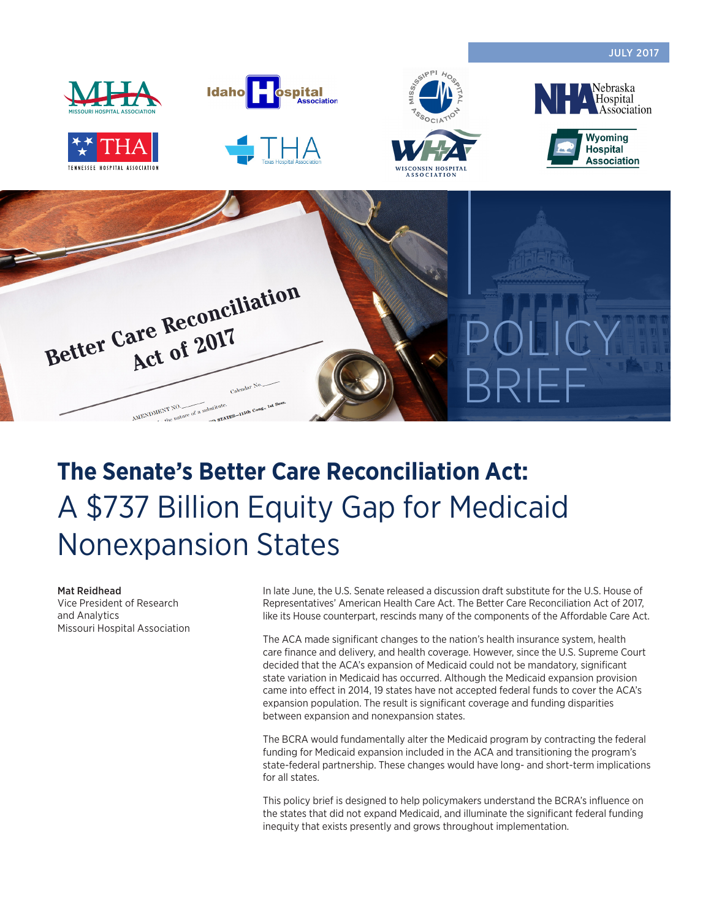

# **The Senate's Better Care Reconciliation Act:** A \$737 Billion Equity Gap for Medicaid Nonexpansion States

#### Mat Reidhead

Vice President of Research and Analytics Missouri Hospital Association In late June, the U.S. Senate released a discussion draft substitute for the U.S. House of Representatives' American Health Care Act. The Better Care Reconciliation Act of 2017, like its House counterpart, rescinds many of the components of the Affordable Care Act.

The ACA made significant changes to the nation's health insurance system, health care finance and delivery, and health coverage. However, since the U.S. Supreme Court decided that the ACA's expansion of Medicaid could not be mandatory, significant state variation in Medicaid has occurred. Although the Medicaid expansion provision came into effect in 2014, 19 states have not accepted federal funds to cover the ACA's expansion population. The result is significant coverage and funding disparities between expansion and nonexpansion states.

The BCRA would fundamentally alter the Medicaid program by contracting the federal funding for Medicaid expansion included in the ACA and transitioning the program's state-federal partnership. These changes would have long- and short-term implications for all states.

This policy brief is designed to help policymakers understand the BCRA's influence on the states that did not expand Medicaid, and illuminate the significant federal funding inequity that exists presently and grows throughout implementation.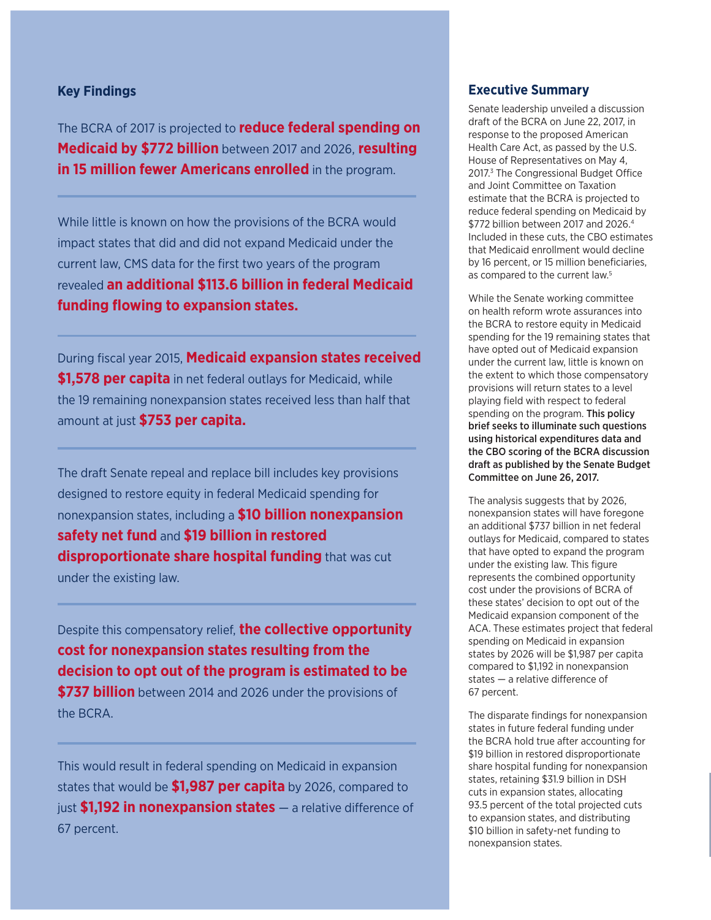## **Key Findings**

The BCRA of 2017 is projected to **reduce federal spending on Medicaid by \$772 billion** between 2017 and 2026, **resulting in 15 million fewer Americans enrolled** in the program.

While little is known on how the provisions of the BCRA would impact states that did and did not expand Medicaid under the current law, CMS data for the first two years of the program revealed **an additional \$113.6 billion in federal Medicaid funding flowing to expansion states.**

During fiscal year 2015, **Medicaid expansion states received \$1,578 per capita** in net federal outlays for Medicaid, while the 19 remaining nonexpansion states received less than half that amount at just **\$753 per capita.**

The draft Senate repeal and replace bill includes key provisions designed to restore equity in federal Medicaid spending for nonexpansion states, including a **\$10 billion nonexpansion safety net fund** and **\$19 billion in restored disproportionate share hospital funding** that was cut under the existing law.

Despite this compensatory relief, **the collective opportunity cost for nonexpansion states resulting from the decision to opt out of the program is estimated to be \$737 billion** between 2014 and 2026 under the provisions of the BCRA.

This would result in federal spending on Medicaid in expansion states that would be **\$1,987 per capita** by 2026, compared to just **\$1,192 in nonexpansion states** — a relative difference of 67 percent.

## **Executive Summary**

Senate leadership unveiled a discussion draft of the BCRA on June 22, 2017, in response to the proposed American Health Care Act, as passed by the U.S. House of Representatives on May 4, 2017.<sup>3</sup> The Congressional Budget Office and Joint Committee on Taxation estimate that the BCRA is projected to reduce federal spending on Medicaid by \$772 billion between 2017 and 2026.4 Included in these cuts, the CBO estimates that Medicaid enrollment would decline by 16 percent, or 15 million beneficiaries, as compared to the current law.<sup>5</sup>

While the Senate working committee on health reform wrote assurances into the BCRA to restore equity in Medicaid spending for the 19 remaining states that have opted out of Medicaid expansion under the current law, little is known on the extent to which those compensatory provisions will return states to a level playing field with respect to federal spending on the program. This policy brief seeks to illuminate such questions using historical expenditures data and the CBO scoring of the BCRA discussion draft as published by the Senate Budget Committee on June 26, 2017.

The analysis suggests that by 2026, nonexpansion states will have foregone an additional \$737 billion in net federal outlays for Medicaid, compared to states that have opted to expand the program under the existing law. This figure represents the combined opportunity cost under the provisions of BCRA of these states' decision to opt out of the Medicaid expansion component of the ACA. These estimates project that federal spending on Medicaid in expansion states by 2026 will be \$1,987 per capita compared to \$1,192 in nonexpansion states — a relative difference of 67 percent.

The disparate findings for nonexpansion states in future federal funding under the BCRA hold true after accounting for \$19 billion in restored disproportionate share hospital funding for nonexpansion states, retaining \$31.9 billion in DSH cuts in expansion states, allocating 93.5 percent of the total projected cuts to expansion states, and distributing \$10 billion in safety-net funding to nonexpansion states.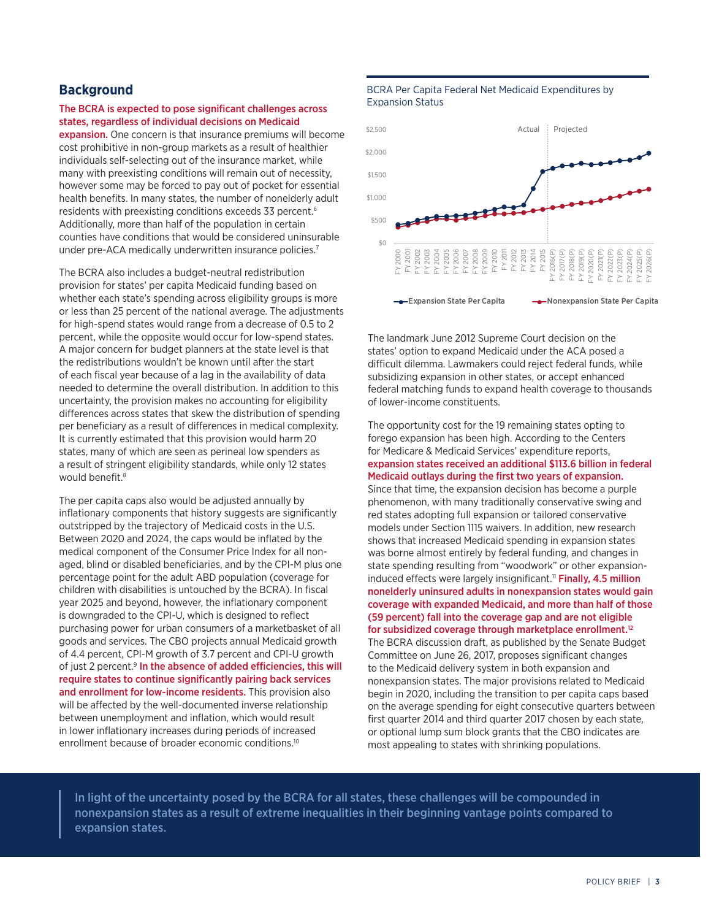## **Background**

#### The BCRA is expected to pose significant challenges across states, regardless of individual decisions on Medicaid

expansion. One concern is that insurance premiums will become cost prohibitive in non-group markets as a result of healthier individuals self-selecting out of the insurance market, while many with preexisting conditions will remain out of necessity, however some may be forced to pay out of pocket for essential health benefits. In many states, the number of nonelderly adult residents with preexisting conditions exceeds 33 percent.<sup>6</sup> Additionally, more than half of the population in certain counties have conditions that would be considered uninsurable under pre-ACA medically underwritten insurance policies.<sup>7</sup>

The BCRA also includes a budget-neutral redistribution provision for states' per capita Medicaid funding based on whether each state's spending across eligibility groups is more or less than 25 percent of the national average. The adjustments for high-spend states would range from a decrease of 0.5 to 2 percent, while the opposite would occur for low-spend states. A major concern for budget planners at the state level is that the redistributions wouldn't be known until after the start of each fiscal year because of a lag in the availability of data needed to determine the overall distribution. In addition to this uncertainty, the provision makes no accounting for eligibility differences across states that skew the distribution of spending per beneficiary as a result of differences in medical complexity. It is currently estimated that this provision would harm 20 states, many of which are seen as perineal low spenders as a result of stringent eligibility standards, while only 12 states would benefit.<sup>8</sup>

The per capita caps also would be adjusted annually by inflationary components that history suggests are significantly outstripped by the trajectory of Medicaid costs in the U.S. Between 2020 and 2024, the caps would be inflated by the medical component of the Consumer Price Index for all nonaged, blind or disabled beneficiaries, and by the CPI-M plus one percentage point for the adult ABD population (coverage for children with disabilities is untouched by the BCRA). In fiscal year 2025 and beyond, however, the inflationary component is downgraded to the CPI-U, which is designed to reflect purchasing power for urban consumers of a marketbasket of all goods and services. The CBO projects annual Medicaid growth of 4.4 percent, CPI-M growth of 3.7 percent and CPI-U growth of just 2 percent.<sup>9</sup> In the absence of added efficiencies, this will require states to continue significantly pairing back services and enrollment for low-income residents. This provision also will be affected by the well-documented inverse relationship between unemployment and inflation, which would result in lower inflationary increases during periods of increased enrollment because of broader economic conditions.<sup>10</sup>

#### BCRA Per Capita Federal Net Medicaid Expenditures by Expansion Status



The landmark June 2012 Supreme Court decision on the states' option to expand Medicaid under the ACA posed a difficult dilemma. Lawmakers could reject federal funds, while subsidizing expansion in other states, or accept enhanced federal matching funds to expand health coverage to thousands of lower-income constituents.

The opportunity cost for the 19 remaining states opting to forego expansion has been high. According to the Centers for Medicare & Medicaid Services' expenditure reports, expansion states received an additional \$113.6 billion in federal Medicaid outlays during the first two years of expansion. Since that time, the expansion decision has become a purple phenomenon, with many traditionally conservative swing and red states adopting full expansion or tailored conservative models under Section 1115 waivers. In addition, new research shows that increased Medicaid spending in expansion states was borne almost entirely by federal funding, and changes in state spending resulting from "woodwork" or other expansioninduced effects were largely insignificant.<sup>11</sup> Finally, 4.5 million nonelderly uninsured adults in nonexpansion states would gain coverage with expanded Medicaid, and more than half of those (59 percent) fall into the coverage gap and are not eligible for subsidized coverage through marketplace enrollment.12 The BCRA discussion draft, as published by the Senate Budget Committee on June 26, 2017, proposes significant changes to the Medicaid delivery system in both expansion and nonexpansion states. The major provisions related to Medicaid begin in 2020, including the transition to per capita caps based on the average spending for eight consecutive quarters between first quarter 2014 and third quarter 2017 chosen by each state, or optional lump sum block grants that the CBO indicates are most appealing to states with shrinking populations.

In light of the uncertainty posed by the BCRA for all states, these challenges will be compounded in nonexpansion states as a result of extreme inequalities in their beginning vantage points compared to expansion states.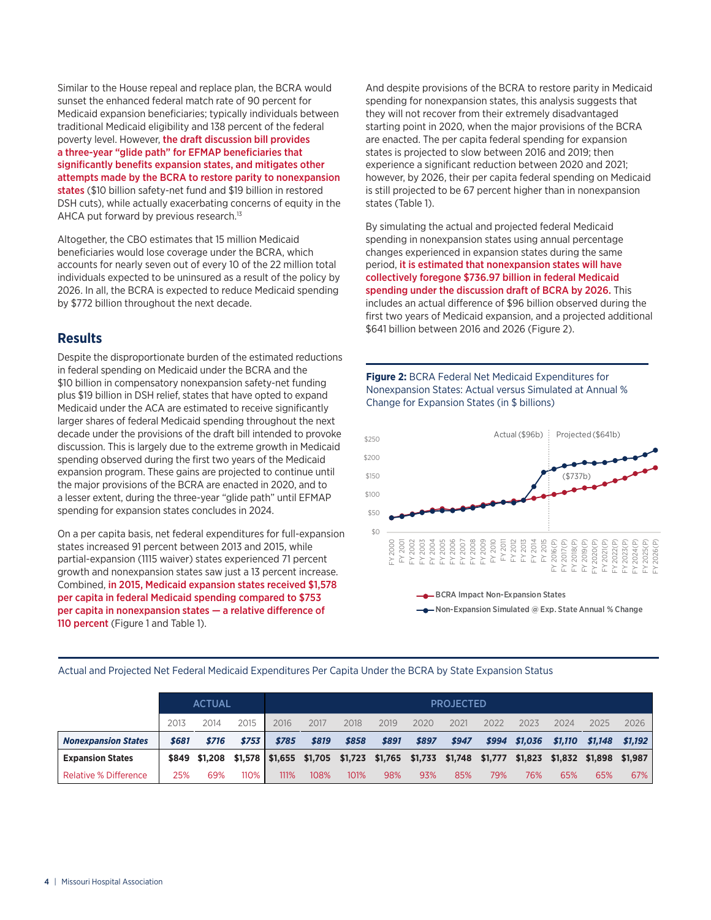Similar to the House repeal and replace plan, the BCRA would sunset the enhanced federal match rate of 90 percent for Medicaid expansion beneficiaries; typically individuals between traditional Medicaid eligibility and 138 percent of the federal poverty level. However, the draft discussion bill provides a three-year "glide path" for EFMAP beneficiaries that significantly benefits expansion states, and mitigates other attempts made by the BCRA to restore parity to nonexpansion states (\$10 billion safety-net fund and \$19 billion in restored DSH cuts), while actually exacerbating concerns of equity in the AHCA put forward by previous research.<sup>13</sup>

Altogether, the CBO estimates that 15 million Medicaid beneficiaries would lose coverage under the BCRA, which accounts for nearly seven out of every 10 of the 22 million total individuals expected to be uninsured as a result of the policy by 2026. In all, the BCRA is expected to reduce Medicaid spending by \$772 billion throughout the next decade.

## **Results**

Despite the disproportionate burden of the estimated reductions in federal spending on Medicaid under the BCRA and the \$10 billion in compensatory nonexpansion safety-net funding plus \$19 billion in DSH relief, states that have opted to expand Medicaid under the ACA are estimated to receive significantly larger shares of federal Medicaid spending throughout the next decade under the provisions of the draft bill intended to provoke discussion. This is largely due to the extreme growth in Medicaid spending observed during the first two years of the Medicaid expansion program. These gains are projected to continue until the major provisions of the BCRA are enacted in 2020, and to a lesser extent, during the three-year "glide path" until EFMAP spending for expansion states concludes in 2024.

On a per capita basis, net federal expenditures for full-expansion states increased 91 percent between 2013 and 2015, while partial-expansion (1115 waiver) states experienced 71 percent growth and nonexpansion states saw just a 13 percent increase. Combined, in 2015, Medicaid expansion states received \$1,578 per capita in federal Medicaid spending compared to \$753 per capita in nonexpansion states — a relative difference of 110 percent (Figure 1 and Table 1).

And despite provisions of the BCRA to restore parity in Medicaid spending for nonexpansion states, this analysis suggests that they will not recover from their extremely disadvantaged starting point in 2020, when the major provisions of the BCRA are enacted. The per capita federal spending for expansion states is projected to slow between 2016 and 2019; then experience a significant reduction between 2020 and 2021; however, by 2026, their per capita federal spending on Medicaid is still projected to be 67 percent higher than in nonexpansion states (Table 1).

By simulating the actual and projected federal Medicaid spending in nonexpansion states using annual percentage changes experienced in expansion states during the same period, it is estimated that nonexpansion states will have collectively foregone \$736.97 billion in federal Medicaid spending under the discussion draft of BCRA by 2026. This includes an actual difference of \$96 billion observed during the first two years of Medicaid expansion, and a projected additional \$641 billion between 2016 and 2026 (Figure 2).

**Figure 2:** BCRA Federal Net Medicaid Expenditures for Nonexpansion States: Actual versus Simulated at Annual % Change for Expansion States (in \$ billions)



Actual and Projected Net Federal Medicaid Expenditures Per Capita Under the BCRA by State Expansion Status

|                              | <b>ACTUAL</b> |                                                                                |       | <b>PROJECTED</b> |       |       |       |       |       |         |         |                 |         |         |
|------------------------------|---------------|--------------------------------------------------------------------------------|-------|------------------|-------|-------|-------|-------|-------|---------|---------|-----------------|---------|---------|
|                              | 2013          | 2014                                                                           | 2015  | 2016             | 2017  | 2018  | 2019  | 2020  | 2021  | 2022    | 2023    | 2024            | 2025    | 2026    |
| <b>Nonexpansion States</b>   | \$681         | \$716                                                                          | \$753 | \$785            | \$819 | \$858 | \$891 | \$897 | \$947 | \$994   | \$1,036 | \$1,110         | \$1.148 | \$1.192 |
| <b>Expansion States</b>      |               | $$849$ $$1,208$ $$1,578$ $$1,655$ $$1,705$ $$1,723$ $$1,765$ $$1,733$ $$1,748$ |       |                  |       |       |       |       |       | \$1,777 | \$1,823 | \$1,832 \$1,898 |         | \$1.987 |
| <b>Relative % Difference</b> | 25%           | 69%                                                                            | 110%  | 111%             | 108%  | 101%  | 98%   | 93%   | 85%   | 79%     | 76%     | 65%             | 65%     | 67%     |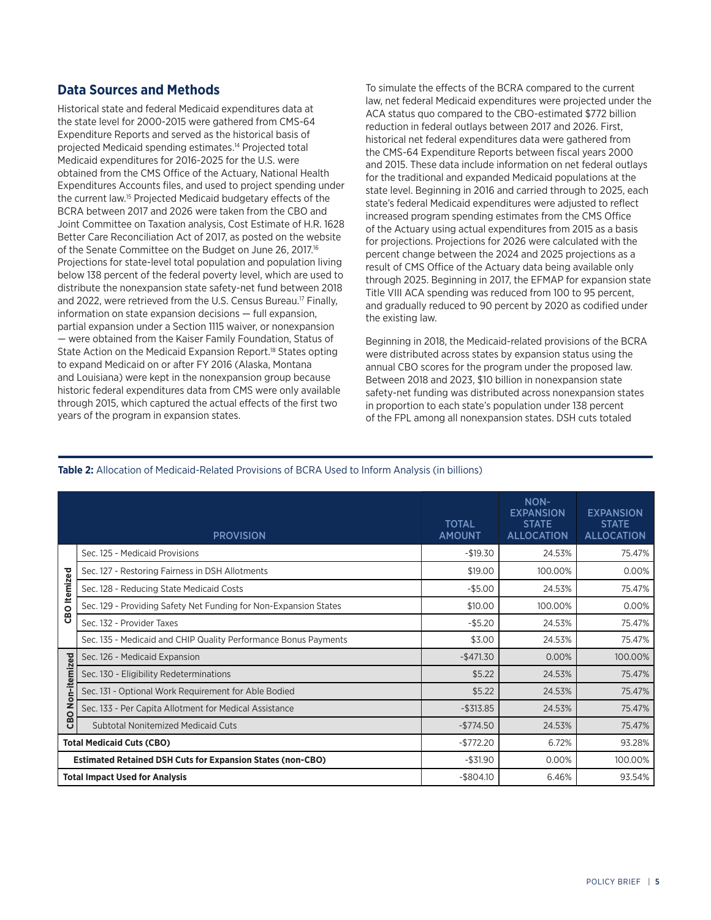## **Data Sources and Methods**

Historical state and federal Medicaid expenditures data at the state level for 2000-2015 were gathered from CMS-64 Expenditure Reports and served as the historical basis of projected Medicaid spending estimates.14 Projected total Medicaid expenditures for 2016-2025 for the U.S. were obtained from the CMS Office of the Actuary, National Health Expenditures Accounts files, and used to project spending under the current law.15 Projected Medicaid budgetary effects of the BCRA between 2017 and 2026 were taken from the CBO and Joint Committee on Taxation analysis, Cost Estimate of H.R. 1628 Better Care Reconciliation Act of 2017, as posted on the website of the Senate Committee on the Budget on June 26, 2017.<sup>16</sup> Projections for state-level total population and population living below 138 percent of the federal poverty level, which are used to distribute the nonexpansion state safety-net fund between 2018 and 2022, were retrieved from the U.S. Census Bureau.<sup>17</sup> Finally, information on state expansion decisions — full expansion, partial expansion under a Section 1115 waiver, or nonexpansion — were obtained from the Kaiser Family Foundation, Status of State Action on the Medicaid Expansion Report.<sup>18</sup> States opting to expand Medicaid on or after FY 2016 (Alaska, Montana and Louisiana) were kept in the nonexpansion group because historic federal expenditures data from CMS were only available through 2015, which captured the actual effects of the first two years of the program in expansion states.

To simulate the effects of the BCRA compared to the current law, net federal Medicaid expenditures were projected under the ACA status quo compared to the CBO-estimated \$772 billion reduction in federal outlays between 2017 and 2026. First, historical net federal expenditures data were gathered from the CMS-64 Expenditure Reports between fiscal years 2000 and 2015. These data include information on net federal outlays for the traditional and expanded Medicaid populations at the state level. Beginning in 2016 and carried through to 2025, each state's federal Medicaid expenditures were adjusted to reflect increased program spending estimates from the CMS Office of the Actuary using actual expenditures from 2015 as a basis for projections. Projections for 2026 were calculated with the percent change between the 2024 and 2025 projections as a result of CMS Office of the Actuary data being available only through 2025. Beginning in 2017, the EFMAP for expansion state Title VIII ACA spending was reduced from 100 to 95 percent, and gradually reduced to 90 percent by 2020 as codified under the existing law.

Beginning in 2018, the Medicaid-related provisions of the BCRA were distributed across states by expansion status using the annual CBO scores for the program under the proposed law. Between 2018 and 2023, \$10 billion in nonexpansion state safety-net funding was distributed across nonexpansion states in proportion to each state's population under 138 percent of the FPL among all nonexpansion states. DSH cuts totaled

### **Table 2:** Allocation of Medicaid-Related Provisions of BCRA Used to Inform Analysis (in billions)

|                         | <b>PROVISION</b>                                                  | <b>TOTAL</b><br><b>AMOUNT</b> | NON-<br><b>EXPANSION</b><br><b>STATE</b><br><b>ALLOCATION</b> | <b>EXPANSION</b><br><b>STATE</b><br><b>ALLOCATION</b> |
|-------------------------|-------------------------------------------------------------------|-------------------------------|---------------------------------------------------------------|-------------------------------------------------------|
|                         | Sec. 125 - Medicaid Provisions                                    | $-$19.30$                     | 24.53%                                                        | 75.47%                                                |
|                         | Sec. 127 - Restoring Fairness in DSH Allotments                   | \$19.00                       | 100.00%                                                       | 0.00%                                                 |
| <b>CBO</b> Itemized     | Sec. 128 - Reducing State Medicaid Costs                          | $-$ \$5.00                    | 24.53%                                                        | 75.47%                                                |
|                         | Sec. 129 - Providing Safety Net Funding for Non-Expansion States  | \$10.00                       | 100.00%                                                       | 0.00%                                                 |
|                         | Sec. 132 - Provider Taxes                                         | $-$5.20$                      | 24.53%                                                        | 75.47%                                                |
|                         | Sec. 135 - Medicaid and CHIP Quality Performance Bonus Payments   | \$3.00                        | 24.53%                                                        | 75.47%                                                |
|                         | Sec. 126 - Medicaid Expansion                                     | $-$471.30$                    | 0.00%                                                         | 100.00%                                               |
|                         | Sec. 130 - Eligibility Redeterminations                           | \$5.22                        | 24.53%                                                        | 75.47%                                                |
|                         | Sec. 131 - Optional Work Requirement for Able Bodied              | \$5.22                        | 24.53%                                                        | 75.47%                                                |
| <b>CBO Non-itemized</b> | Sec. 133 - Per Capita Allotment for Medical Assistance            | $-$313.85$                    | 24.53%                                                        | 75.47%                                                |
|                         | <b>Subtotal Nonitemized Medicaid Cuts</b>                         | $-$774.50$                    | 24.53%                                                        | 75.47%                                                |
|                         | <b>Total Medicaid Cuts (CBO)</b>                                  | $-$772.20$                    | 6.72%                                                         | 93.28%                                                |
|                         | <b>Estimated Retained DSH Cuts for Expansion States (non-CBO)</b> | $-$31.90$                     | 0.00%                                                         | 100.00%                                               |
|                         | <b>Total Impact Used for Analysis</b>                             | $-$804.10$                    | 6.46%                                                         | 93.54%                                                |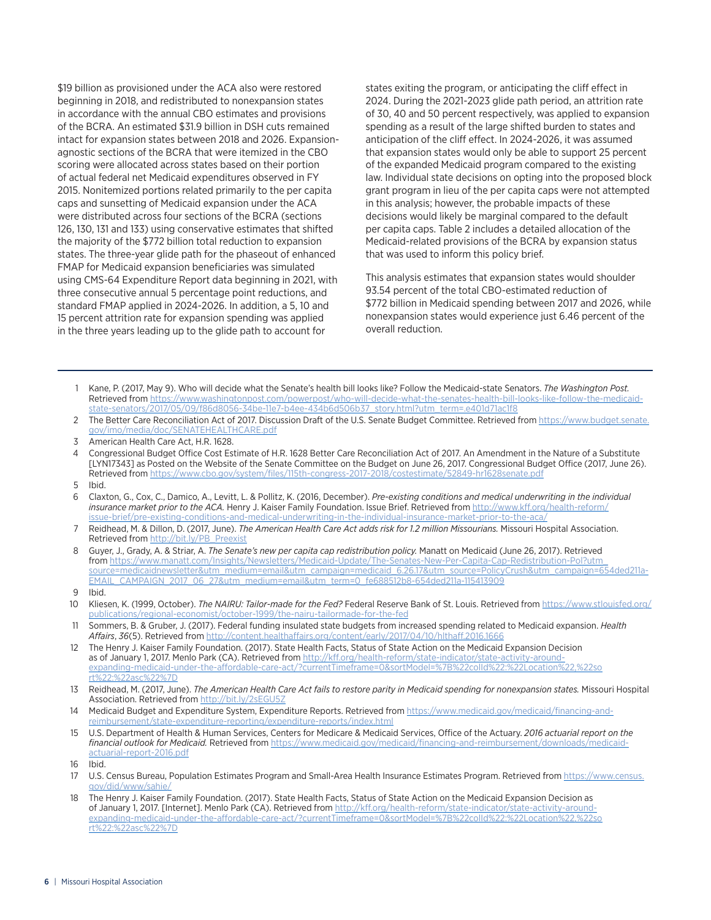\$19 billion as provisioned under the ACA also were restored beginning in 2018, and redistributed to nonexpansion states in accordance with the annual CBO estimates and provisions of the BCRA. An estimated \$31.9 billion in DSH cuts remained intact for expansion states between 2018 and 2026. Expansionagnostic sections of the BCRA that were itemized in the CBO scoring were allocated across states based on their portion of actual federal net Medicaid expenditures observed in FY 2015. Nonitemized portions related primarily to the per capita caps and sunsetting of Medicaid expansion under the ACA were distributed across four sections of the BCRA (sections 126, 130, 131 and 133) using conservative estimates that shifted the majority of the \$772 billion total reduction to expansion states. The three-year glide path for the phaseout of enhanced FMAP for Medicaid expansion beneficiaries was simulated using CMS-64 Expenditure Report data beginning in 2021, with three consecutive annual 5 percentage point reductions, and standard FMAP applied in 2024-2026. In addition, a 5, 10 and 15 percent attrition rate for expansion spending was applied in the three years leading up to the glide path to account for

states exiting the program, or anticipating the cliff effect in 2024. During the 2021-2023 glide path period, an attrition rate of 30, 40 and 50 percent respectively, was applied to expansion spending as a result of the large shifted burden to states and anticipation of the cliff effect. In 2024-2026, it was assumed that expansion states would only be able to support 25 percent of the expanded Medicaid program compared to the existing law. Individual state decisions on opting into the proposed block grant program in lieu of the per capita caps were not attempted in this analysis; however, the probable impacts of these decisions would likely be marginal compared to the default per capita caps. Table 2 includes a detailed allocation of the Medicaid-related provisions of the BCRA by expansion status that was used to inform this policy brief.

This analysis estimates that expansion states would shoulder 93.54 percent of the total CBO-estimated reduction of \$772 billion in Medicaid spending between 2017 and 2026, while nonexpansion states would experience just 6.46 percent of the overall reduction.

- 1 Kane, P. (2017, May 9). Who will decide what the Senate's health bill looks like? Follow the Medicaid-state Senators. *The Washington Post.* Retrieved from [https://www.washingtonpost.com/powerpost/who-will-decide-what-the-senates-health-bill-looks-like-follow-the-medicaid](https://www.washingtonpost.com/powerpost/who-will-decide-what-the-senates-health-bill-looks-like-follow-the-medicaid-state-senators/2017/05/09/f86d8056-34be-11e7-b4ee-434b6d506b37_story.html?utm_term=.e401d71ac1f8)[state-senators/2017/05/09/f86d8056-34be-11e7-b4ee-434b6d506b37\\_story.html?utm\\_term=.e401d71ac1f8](https://www.washingtonpost.com/powerpost/who-will-decide-what-the-senates-health-bill-looks-like-follow-the-medicaid-state-senators/2017/05/09/f86d8056-34be-11e7-b4ee-434b6d506b37_story.html?utm_term=.e401d71ac1f8)
- 2 The Better Care Reconciliation Act of 2017. Discussion Draft of the U.S. Senate Budget Committee. Retrieved from [https://www.budget.senate.](https://www.budget.senate.gov/imo/media/doc/SENATEHEALTHCARE.pdf) [gov/imo/media/doc/SENATEHEALTHCARE.pdf](https://www.budget.senate.gov/imo/media/doc/SENATEHEALTHCARE.pdf)
- 3 American Health Care Act, H.R. 1628.
- 4 Congressional Budget Office Cost Estimate of H.R. 1628 Better Care Reconciliation Act of 2017. An Amendment in the Nature of a Substitute [LYN17343] as Posted on the Website of the Senate Committee on the Budget on June 26, 2017. Congressional Budget Office (2017, June 26). Retrieved from<https://www.cbo.gov/system/files/115th-congress-2017-2018/costestimate/52849-hr1628senate.pdf>
- 5 Ibid.
- 6 Claxton, G., Cox, C., Damico, A., Levitt, L. & Pollitz, K. (2016, December). *Pre-existing conditions and medical underwriting in the individual insurance market prior to the ACA.* Henry J. Kaiser Family Foundation. Issue Brief. Retrieved from [http://www.kff.org/health-reform/](http://www.kff.org/health-reform/issue-brief/pre-existing-conditions-and-medical-underwriting-in-the-individual-insurance-market-prior-to-the-aca/) [issue-brief/pre-existing-conditions-and-medical-underwriting-in-the-individual-insurance-market-prior-to-the-aca/](http://www.kff.org/health-reform/issue-brief/pre-existing-conditions-and-medical-underwriting-in-the-individual-insurance-market-prior-to-the-aca/)
- 7 Reidhead, M. & Dillon, D. (2017, June). *The American Health Care Act adds risk for 1.2 million Missourians.* Missouri Hospital Association. Retrieved from [http://bit.ly/PB\\_Preexist](http://bit.ly/PB_Preexist)
- 8 Guyer, J., Grady, A. & Striar, A. *The Senate's new per capita cap redistribution policy.* Manatt on Medicaid (June 26, 2017). Retrieved from [https://www.manatt.com/Insights/Newsletters/Medicaid-Update/The-Senates-New-Per-Capita-Cap-Redistribution-Pol?utm\\_](https://www.manatt.com/Insights/Newsletters/Medicaid-Update/The-Senates-New-Per-Capita-Cap-Redistribution-Pol?utm_source=medicaidnewsletter&utm_medium=email&utm_campaign=medicaid_6.26.17&utm_source=PolicyCrush&utm_campaign=654ded211a-EMAIL_CAMPAIGN_2017_06_27&utm_medium=email&utm_term=0_fe688512b8-654ded211a-115413909) [source=medicaidnewsletter&utm\\_medium=email&utm\\_campaign=medicaid\\_6.26.17&utm\\_source=PolicyCrush&utm\\_campaign=654ded211a-](https://www.manatt.com/Insights/Newsletters/Medicaid-Update/The-Senates-New-Per-Capita-Cap-Redistribution-Pol?utm_source=medicaidnewsletter&utm_medium=email&utm_campaign=medicaid_6.26.17&utm_source=PolicyCrush&utm_campaign=654ded211a-EMAIL_CAMPAIGN_2017_06_27&utm_medium=email&utm_term=0_fe688512b8-654ded211a-115413909)[EMAIL\\_CAMPAIGN\\_2017\\_06\\_27&utm\\_medium=email&utm\\_term=0\\_fe688512b8-654ded211a-115413909](https://www.manatt.com/Insights/Newsletters/Medicaid-Update/The-Senates-New-Per-Capita-Cap-Redistribution-Pol?utm_source=medicaidnewsletter&utm_medium=email&utm_campaign=medicaid_6.26.17&utm_source=PolicyCrush&utm_campaign=654ded211a-EMAIL_CAMPAIGN_2017_06_27&utm_medium=email&utm_term=0_fe688512b8-654ded211a-115413909)
- 9 Ibid.
- 10 Kliesen, K. (1999, October). *The NAIRU: Tailor-made for the Fed?* Federal Reserve Bank of St. Louis. Retrieved from [https://www.stlouisfed.org/](https://www.stlouisfed.org/publications/regional-economist/october-1999/the-nairu-tailormade-for-the-fed) [publications/regional-economist/october-1999/the-nairu-tailormade-for-the-fed](https://www.stlouisfed.org/publications/regional-economist/october-1999/the-nairu-tailormade-for-the-fed)
- 11 Sommers, B. & Gruber, J. (2017). Federal funding insulated state budgets from increased spending related to Medicaid expansion. *Health Affairs*, *36*(5). Retrieved from <http://content.healthaffairs.org/content/early/2017/04/10/hlthaff.2016.1666>
- 12 The Henry J. Kaiser Family Foundation. (2017). State Health Facts, Status of State Action on the Medicaid Expansion Decision as of January 1, 2017. Menlo Park (CA). Retrieved from [http://kff.org/health-reform/state-indicator/state-activity-around](http://kff.org/health-reform/state-indicator/state-activity-around-expanding-medicaid-under-the-affordable-care-act/?currentTimeframe=0&sortModel=%7B%22colId%22:%22Location%22,%22sort%22:%22asc%22%7D)[expanding-medicaid-under-the-affordable-care-act/?currentTimeframe=0&sortModel=%7B%22colId%22:%22Location%22,%22so](http://kff.org/health-reform/state-indicator/state-activity-around-expanding-medicaid-under-the-affordable-care-act/?currentTimeframe=0&sortModel=%7B%22colId%22:%22Location%22,%22sort%22:%22asc%22%7D) [rt%22:%22asc%22%7D](http://kff.org/health-reform/state-indicator/state-activity-around-expanding-medicaid-under-the-affordable-care-act/?currentTimeframe=0&sortModel=%7B%22colId%22:%22Location%22,%22sort%22:%22asc%22%7D)
- 13 Reidhead, M. (2017, June). *The American Health Care Act fails to restore parity in Medicaid spending for nonexpansion states.* Missouri Hospital Association. Retrieved from <http://bit.ly/2sEGU5Z>
- 14 Medicaid Budget and Expenditure System, Expenditure Reports. Retrieved from [https://www.medicaid.gov/medicaid/financing-and](https://www.medicaid.gov/medicaid/financing-and-reimbursement/state-expenditure-reporting/expenditure-reports/index.html)[reimbursement/state-expenditure-reporting/expenditure-reports/index.html](https://www.medicaid.gov/medicaid/financing-and-reimbursement/state-expenditure-reporting/expenditure-reports/index.html)
- 15 U.S. Department of Health & Human Services, Centers for Medicare & Medicaid Services, Office of the Actuary. *2016 actuarial report on the financial outlook for Medicaid.* Retrieved from [https://www.medicaid.gov/medicaid/financing-and-reimbursement/downloads/medicaid](https://www.medicaid.gov/medicaid/financing-and-reimbursement/downloads/medicaid-actuarial-report-2016.pdf)[actuarial-report-2016.pdf](https://www.medicaid.gov/medicaid/financing-and-reimbursement/downloads/medicaid-actuarial-report-2016.pdf)

- 17 U.S. Census Bureau, Population Estimates Program and Small-Area Health Insurance Estimates Program. Retrieved from [https://www.census.](https://www.census.gov/did/www/sahie/) [gov/did/www/sahie/](https://www.census.gov/did/www/sahie/)
- 18 The Henry J. Kaiser Family Foundation. (2017). State Health Facts, Status of State Action on the Medicaid Expansion Decision as of January 1, 2017. [Internet]. Menlo Park (CA). Retrieved from [http://kff.org/health-reform/state-indicator/state-activity-around](http://kff.org/health-reform/state-indicator/state-activity-around-expanding-medicaid-under-the-affordable-care-act/?currentTimeframe=0&sortModel=%7B%22colId%22:%22Location%22,%22sort%22:%22asc%22%7D)[expanding-medicaid-under-the-affordable-care-act/?currentTimeframe=0&sortModel=%7B%22colId%22:%22Location%22,%22so](http://kff.org/health-reform/state-indicator/state-activity-around-expanding-medicaid-under-the-affordable-care-act/?currentTimeframe=0&sortModel=%7B%22colId%22:%22Location%22,%22sort%22:%22asc%22%7D) [rt%22:%22asc%22%7D](http://kff.org/health-reform/state-indicator/state-activity-around-expanding-medicaid-under-the-affordable-care-act/?currentTimeframe=0&sortModel=%7B%22colId%22:%22Location%22,%22sort%22:%22asc%22%7D)

<sup>16</sup> Ibid.